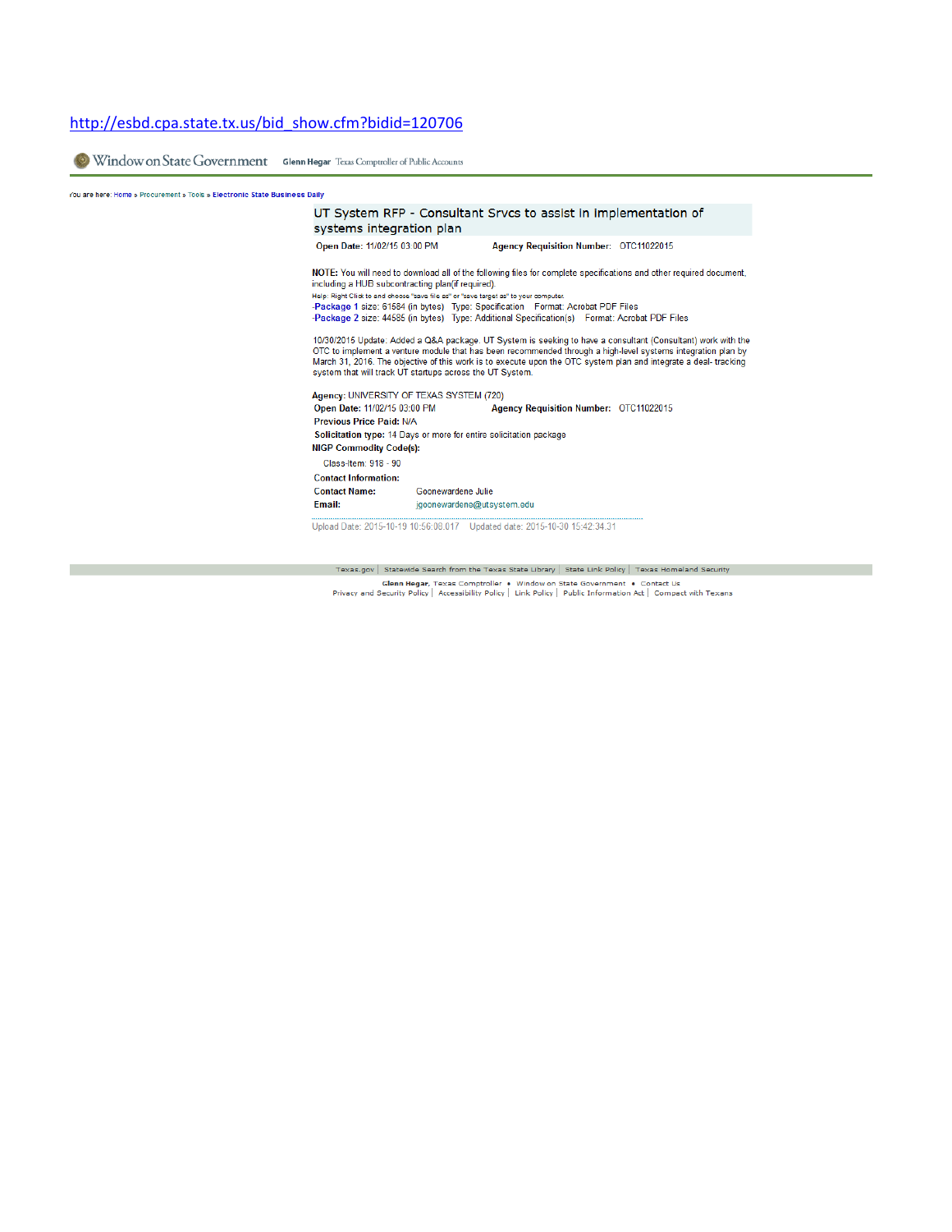## http://esbd.cpa.state.tx.us/bid\_show.cfm?bidid=120706

Window on State Government Glenn Hegar Texas Comptroller of Public Accounts

## You are here: Home » Procurement » Tools » Electronic State Business Daily

| systems integration plan                                                                                      |                    | UT System RFP - Consultant Srvcs to assist in implementation of                                                                                                                                                                                                                                                                                                                                                                                                                                                                                                                                                                                                                                                                                    |
|---------------------------------------------------------------------------------------------------------------|--------------------|----------------------------------------------------------------------------------------------------------------------------------------------------------------------------------------------------------------------------------------------------------------------------------------------------------------------------------------------------------------------------------------------------------------------------------------------------------------------------------------------------------------------------------------------------------------------------------------------------------------------------------------------------------------------------------------------------------------------------------------------------|
| Open Date: 11/02/15 03:00 PM                                                                                  |                    | Agency Requisition Number: OTC11022015                                                                                                                                                                                                                                                                                                                                                                                                                                                                                                                                                                                                                                                                                                             |
| including a HUB subcontracting plan(if required).<br>system that will track UT startups across the UT System. |                    | NOTE: You will need to download all of the following files for complete specifications and other required document,<br>Help: Right Click to and choose "save file as" or "save target as" to your computer.<br>-Package 1 size: 61584 (in bytes) Type: Specification Format: Acrobat PDF Files<br>-Package 2 size: 44585 (in bytes) Type: Additional Specification(s) Format: Acrobat PDF Files<br>10/30/2015 Update: Added a Q&A package. UT System is seeking to have a consultant (Consultant) work with the<br>OTC to implement a venture module that has been recommended through a high-level systems integration plan by<br>March 31, 2016. The objective of this work is to execute upon the OTC system plan and integrate a deal-tracking |
| Agency: UNIVERSITY OF TEXAS SYSTEM (720)                                                                      |                    |                                                                                                                                                                                                                                                                                                                                                                                                                                                                                                                                                                                                                                                                                                                                                    |
| Open Date: 11/02/15 03:00 PM                                                                                  |                    | Agency Requisition Number: OTC11022015                                                                                                                                                                                                                                                                                                                                                                                                                                                                                                                                                                                                                                                                                                             |
| <b>Previous Price Paid: N/A</b>                                                                               |                    |                                                                                                                                                                                                                                                                                                                                                                                                                                                                                                                                                                                                                                                                                                                                                    |
|                                                                                                               |                    | Solicitation type: 14 Days or more for entire solicitation package                                                                                                                                                                                                                                                                                                                                                                                                                                                                                                                                                                                                                                                                                 |
| <b>NIGP Commodity Code(s):</b>                                                                                |                    |                                                                                                                                                                                                                                                                                                                                                                                                                                                                                                                                                                                                                                                                                                                                                    |
| Class-Item: 918 - 90                                                                                          |                    |                                                                                                                                                                                                                                                                                                                                                                                                                                                                                                                                                                                                                                                                                                                                                    |
| <b>Contact Information:</b>                                                                                   |                    |                                                                                                                                                                                                                                                                                                                                                                                                                                                                                                                                                                                                                                                                                                                                                    |
| <b>Contact Name:</b>                                                                                          | Goonewardene Julie |                                                                                                                                                                                                                                                                                                                                                                                                                                                                                                                                                                                                                                                                                                                                                    |
| Email:                                                                                                        |                    | jqoonewardene@utsystem.edu                                                                                                                                                                                                                                                                                                                                                                                                                                                                                                                                                                                                                                                                                                                         |
|                                                                                                               |                    | Upload Date: 2015-10-19 10:56:08.017 Updated date: 2015-10-30 15:42:34.31                                                                                                                                                                                                                                                                                                                                                                                                                                                                                                                                                                                                                                                                          |

Texas.gov | Statewide Search from the Texas State Library | State Link Policy | Texas Homeland Security **Glenn Hegar,** Texas Comptroller • Window on State Government • Contact Us<br>Privacy and Security Policy | Accessibility Policy | Link Policy | Public Information Act | Compact with Texans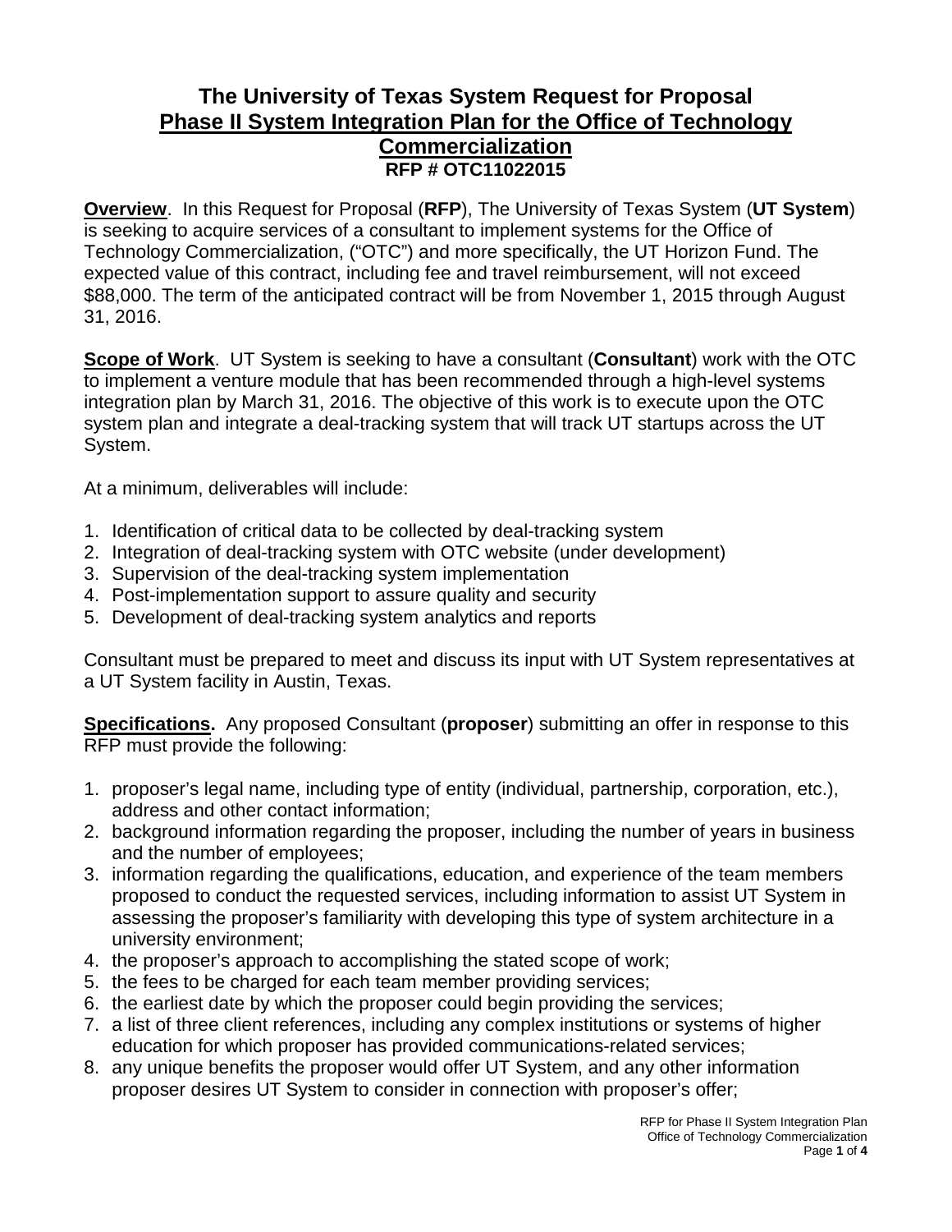## **The University of Texas System Request for Proposal Phase II System Integration Plan for the Office of Technology Commercialization RFP # OTC11022015**

**Overview**. In this Request for Proposal (**RFP**), The University of Texas System (**UT System**) is seeking to acquire services of a consultant to implement systems for the Office of Technology Commercialization, ("OTC") and more specifically, the UT Horizon Fund. The expected value of this contract, including fee and travel reimbursement, will not exceed \$88,000. The term of the anticipated contract will be from November 1, 2015 through August 31, 2016.

**Scope of Work**. UT System is seeking to have a consultant (**Consultant**) work with the OTC to implement a venture module that has been recommended through a high-level systems integration plan by March 31, 2016. The objective of this work is to execute upon the OTC system plan and integrate a deal-tracking system that will track UT startups across the UT System.

At a minimum, deliverables will include:

- 1. Identification of critical data to be collected by deal-tracking system
- 2. Integration of deal-tracking system with OTC website (under development)
- 3. Supervision of the deal-tracking system implementation
- 4. Post-implementation support to assure quality and security
- 5. Development of deal-tracking system analytics and reports

Consultant must be prepared to meet and discuss its input with UT System representatives at a UT System facility in Austin, Texas.

**Specifications.** Any proposed Consultant (**proposer**) submitting an offer in response to this RFP must provide the following:

- 1. proposer's legal name, including type of entity (individual, partnership, corporation, etc.), address and other contact information;
- 2. background information regarding the proposer, including the number of years in business and the number of employees;
- 3. information regarding the qualifications, education, and experience of the team members proposed to conduct the requested services, including information to assist UT System in assessing the proposer's familiarity with developing this type of system architecture in a university environment;
- 4. the proposer's approach to accomplishing the stated scope of work;
- 5. the fees to be charged for each team member providing services;
- 6. the earliest date by which the proposer could begin providing the services;
- 7. a list of three client references, including any complex institutions or systems of higher education for which proposer has provided communications-related services;
- 8. any unique benefits the proposer would offer UT System, and any other information proposer desires UT System to consider in connection with proposer's offer;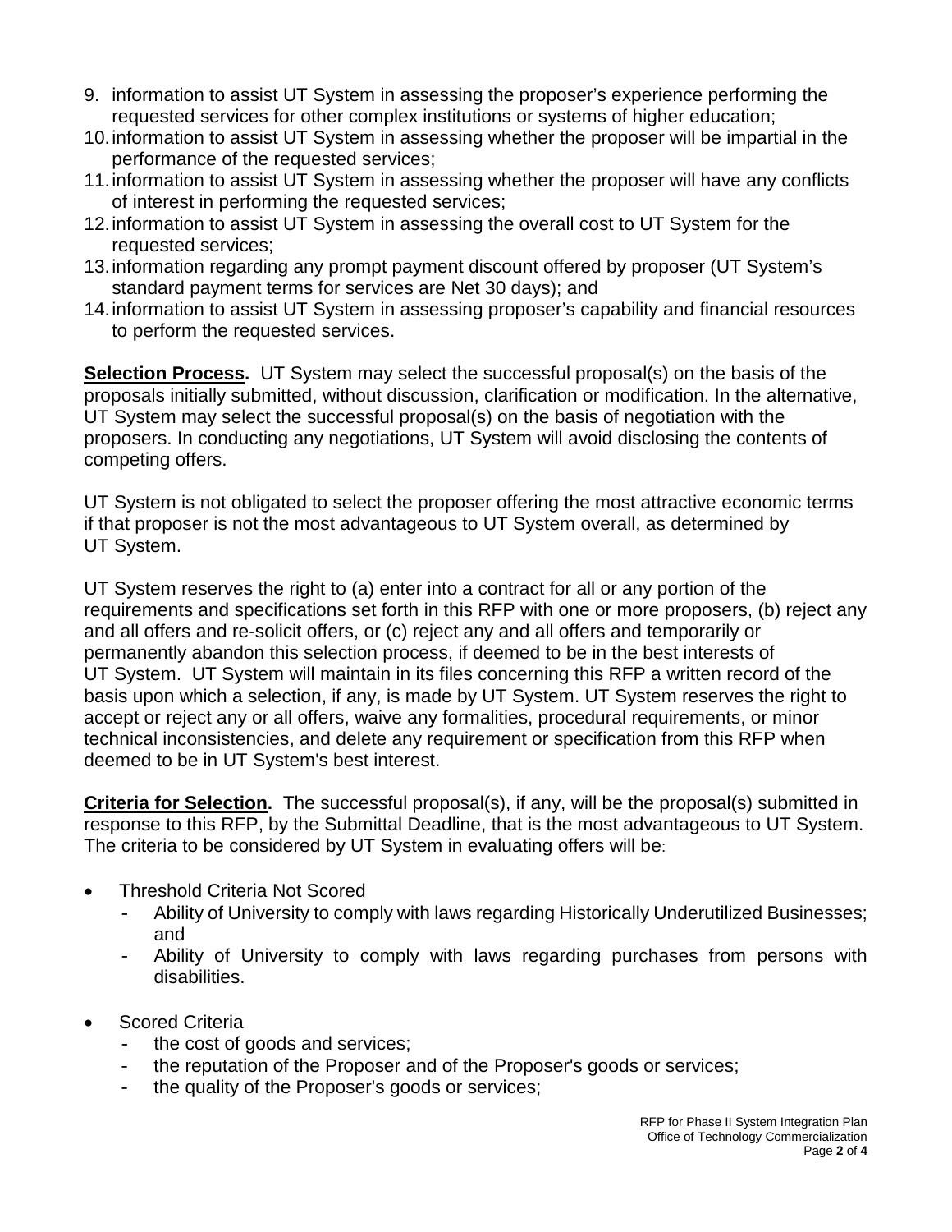- 9. information to assist UT System in assessing the proposer's experience performing the requested services for other complex institutions or systems of higher education;
- 10.information to assist UT System in assessing whether the proposer will be impartial in the performance of the requested services;
- 11.information to assist UT System in assessing whether the proposer will have any conflicts of interest in performing the requested services;
- 12.information to assist UT System in assessing the overall cost to UT System for the requested services;
- 13.information regarding any prompt payment discount offered by proposer (UT System's standard payment terms for services are Net 30 days); and
- 14.information to assist UT System in assessing proposer's capability and financial resources to perform the requested services.

**Selection Process.** UT System may select the successful proposal(s) on the basis of the proposals initially submitted, without discussion, clarification or modification. In the alternative, UT System may select the successful proposal(s) on the basis of negotiation with the proposers. In conducting any negotiations, UT System will avoid disclosing the contents of competing offers.

UT System is not obligated to select the proposer offering the most attractive economic terms if that proposer is not the most advantageous to UT System overall, as determined by UT System.

UT System reserves the right to (a) enter into a contract for all or any portion of the requirements and specifications set forth in this RFP with one or more proposers, (b) reject any and all offers and re-solicit offers, or (c) reject any and all offers and temporarily or permanently abandon this selection process, if deemed to be in the best interests of UT System. UT System will maintain in its files concerning this RFP a written record of the basis upon which a selection, if any, is made by UT System. UT System reserves the right to accept or reject any or all offers, waive any formalities, procedural requirements, or minor technical inconsistencies, and delete any requirement or specification from this RFP when deemed to be in UT System's best interest.

**Criteria for Selection.** The successful proposal(s), if any, will be the proposal(s) submitted in response to this RFP, by the Submittal Deadline, that is the most advantageous to UT System. The criteria to be considered by UT System in evaluating offers will be:

- Threshold Criteria Not Scored
	- Ability of University to comply with laws regarding Historically Underutilized Businesses; and
	- Ability of University to comply with laws regarding purchases from persons with disabilities.
- Scored Criteria
	- the cost of goods and services;
	- the reputation of the Proposer and of the Proposer's goods or services;
	- the quality of the Proposer's goods or services;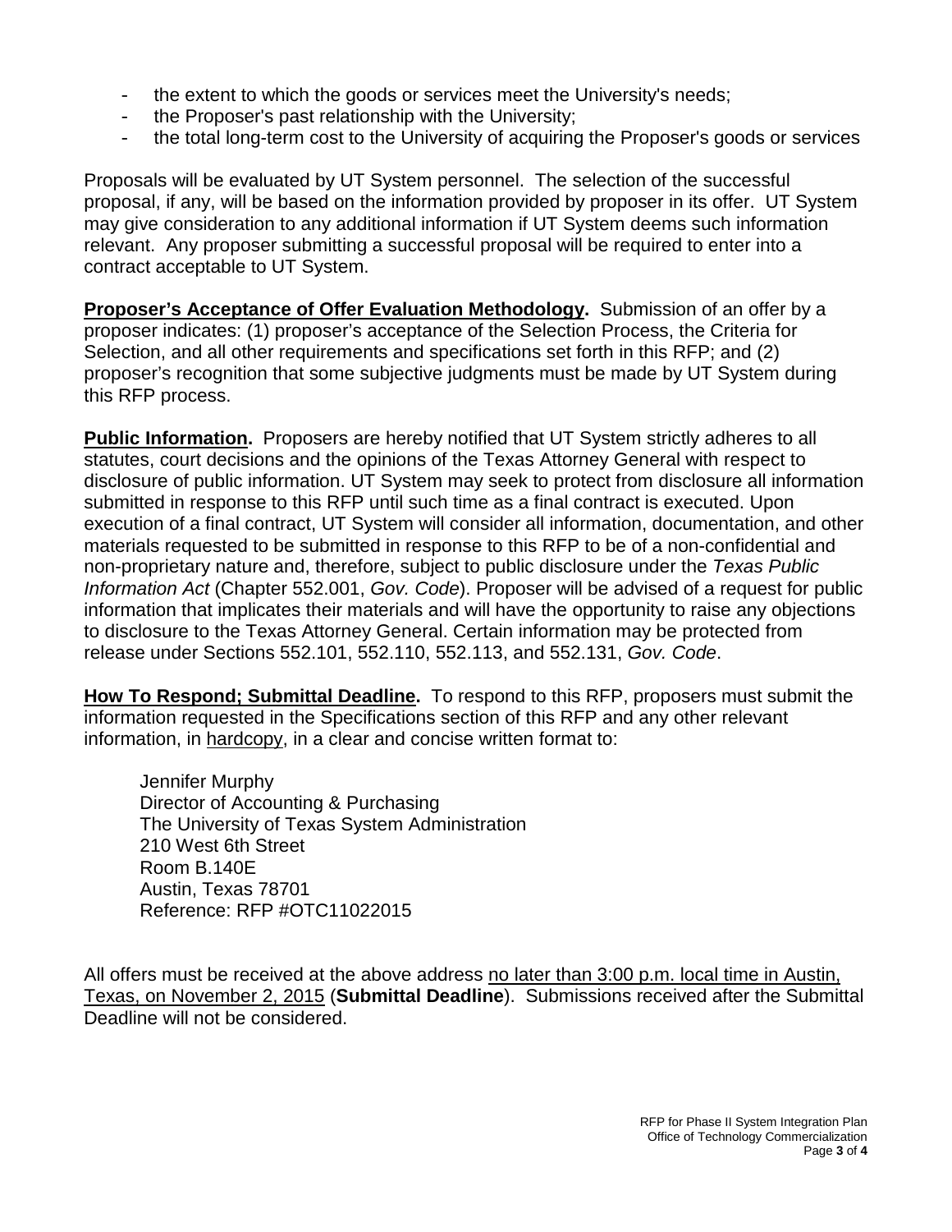- the extent to which the goods or services meet the University's needs;
- the Proposer's past relationship with the University;
- the total long-term cost to the University of acquiring the Proposer's goods or services

Proposals will be evaluated by UT System personnel. The selection of the successful proposal, if any, will be based on the information provided by proposer in its offer. UT System may give consideration to any additional information if UT System deems such information relevant. Any proposer submitting a successful proposal will be required to enter into a contract acceptable to UT System.

**Proposer's Acceptance of Offer Evaluation Methodology.** Submission of an offer by a proposer indicates: (1) proposer's acceptance of the Selection Process, the Criteria for Selection, and all other requirements and specifications set forth in this RFP; and (2) proposer's recognition that some subjective judgments must be made by UT System during this RFP process.

**Public Information.** Proposers are hereby notified that UT System strictly adheres to all statutes, court decisions and the opinions of the Texas Attorney General with respect to disclosure of public information. UT System may seek to protect from disclosure all information submitted in response to this RFP until such time as a final contract is executed. Upon execution of a final contract, UT System will consider all information, documentation, and other materials requested to be submitted in response to this RFP to be of a non-confidential and non-proprietary nature and, therefore, subject to public disclosure under the *Texas Public Information Act* (Chapter 552.001, *Gov. Code*). Proposer will be advised of a request for public information that implicates their materials and will have the opportunity to raise any objections to disclosure to the Texas Attorney General. Certain information may be protected from release under Sections 552.101, 552.110, 552.113, and 552.131, *Gov. Code*.

**How To Respond; Submittal Deadline.** To respond to this RFP, proposers must submit the information requested in the Specifications section of this RFP and any other relevant information, in hardcopy, in a clear and concise written format to:

Jennifer Murphy Director of Accounting & Purchasing The University of Texas System Administration 210 West 6th Street Room B.140E Austin, Texas 78701 Reference: RFP #OTC11022015

All offers must be received at the above address no later than 3:00 p.m. local time in Austin, Texas, on November 2, 2015 (**Submittal Deadline**). Submissions received after the Submittal Deadline will not be considered.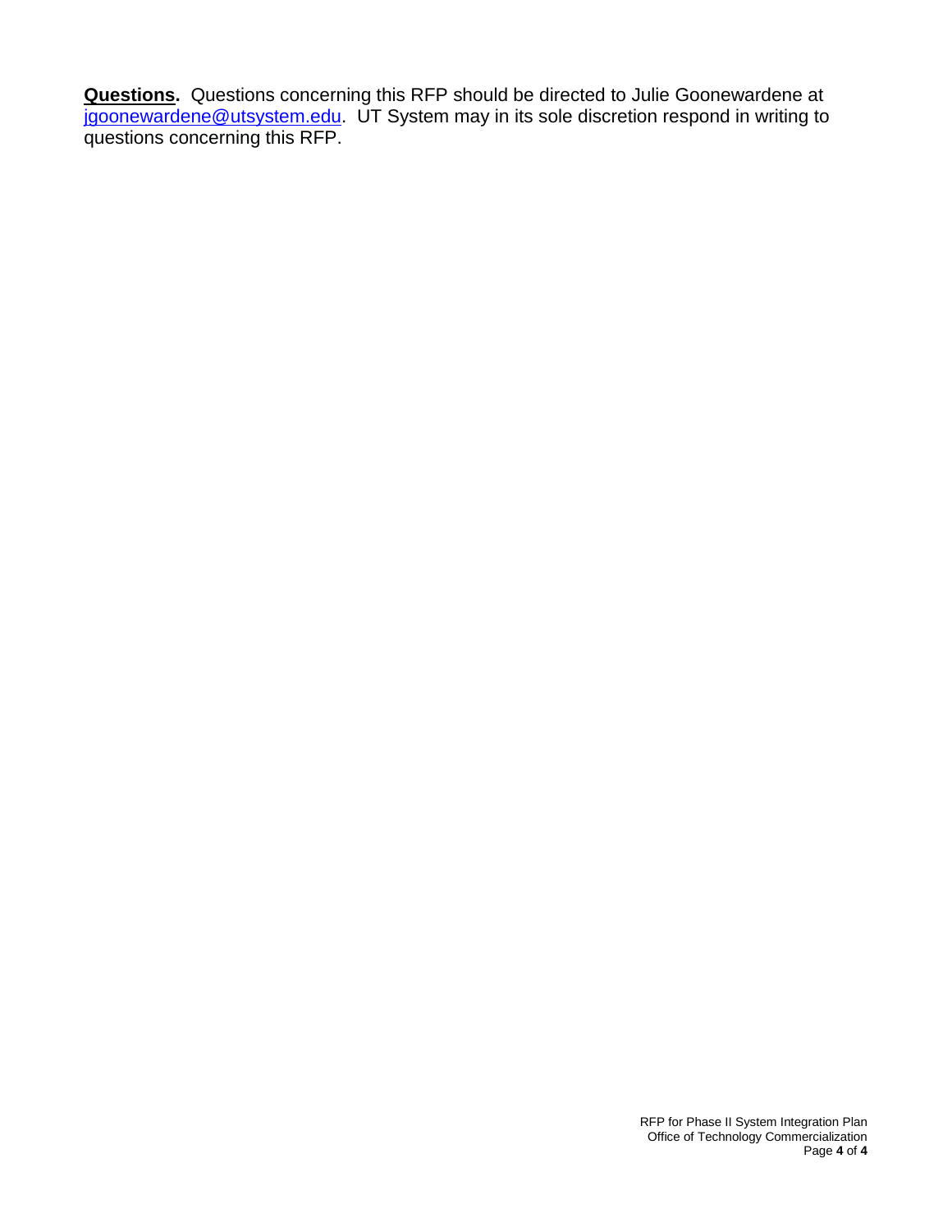**Questions.** Questions concerning this RFP should be directed to Julie Goonewardene at [jgoonewardene@utsystem.edu.](mailto:jgoonewardene@utsystem.edu) UT System may in its sole discretion respond in writing to questions concerning this RFP.